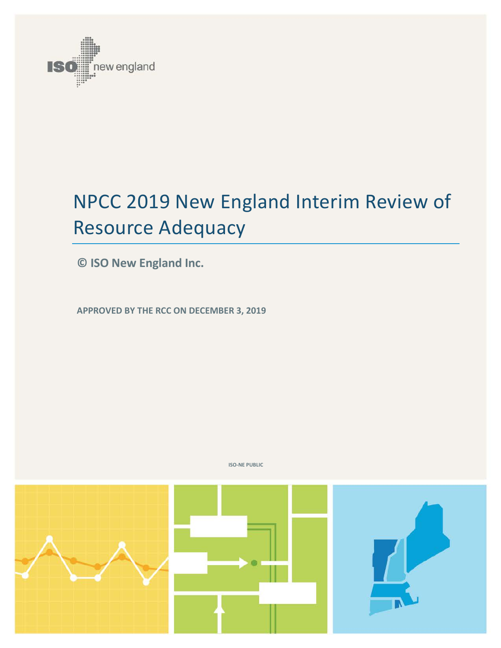

# NPCC 2019 New England Interim Review of Resource Adequacy

**© ISO New England Inc.**

**APPROVED BY THE RCC ON DECEMBER 3, 2019**



**ISO-NE PUBLIC**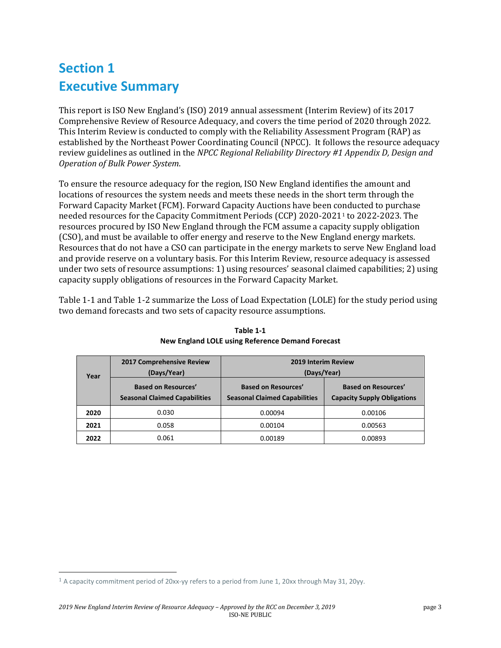### **Section 1 Executive Summary**

This report is ISO New England's (ISO) 2019 annual assessment (Interim Review) of its 2017 Comprehensive Review of Resource Adequacy, and covers the time period of 2020 through 2022. This Interim Review is conducted to comply with the Reliability Assessment Program (RAP) as established by the Northeast Power Coordinating Council (NPCC). It follows the resource adequacy review guidelines as outlined in the *NPCC Regional Reliability Directory #1 Appendix D, Design and Operation of Bulk Power System*.

To ensure the resource adequacy for the region, ISO New England identifies the amount and locations of resources the system needs and meets these needs in the short term through the Forward Capacity Market (FCM). Forward Capacity Auctions have been c[on](#page-2-1)ducted to purchase needed resources for the Capacity Commitment Periods (CCP) 2020-20211 to 2022-2023. The resources procured by ISO New England through the FCM assume a capacity supply obligation (CSO), and must be available to offer energy and reserve to the New England energy markets. Resources that do not have a CSO can participate in the energy markets to serve New England load and provide reserve on a voluntary basis. For this Interim Review, resource adequacy is assessed under two sets of resource assumptions: 1) using resources' seasonal claimed capabilities; 2) using capacity supply obligations of resources in the Forward Capacity Market.

<span id="page-2-0"></span>[Table 1-1](#page-2-0) and Table 1-2 summarize the Loss of Load Expectation (LOLE) for the study period using two demand forecasts and two sets of capacity resource assumptions.

| Year | 2017 Comprehensive Review<br>(Days/Year)                           | 2019 Interim Review<br>(Days/Year)                                 |                                                                  |  |
|------|--------------------------------------------------------------------|--------------------------------------------------------------------|------------------------------------------------------------------|--|
|      | <b>Based on Resources'</b><br><b>Seasonal Claimed Capabilities</b> | <b>Based on Resources'</b><br><b>Seasonal Claimed Capabilities</b> | <b>Based on Resources'</b><br><b>Capacity Supply Obligations</b> |  |
| 2020 | 0.030                                                              | 0.00094                                                            | 0.00106                                                          |  |
| 2021 | 0.058                                                              | 0.00104                                                            | 0.00563                                                          |  |
| 2022 | 0.061                                                              | 0.00189                                                            | 0.00893                                                          |  |

**Table 1-1 New England LOLE using Reference Demand Forecast**

<span id="page-2-1"></span> $1$  A capacity commitment period of 20xx-yy refers to a period from June 1, 20xx through May 31, 20yy.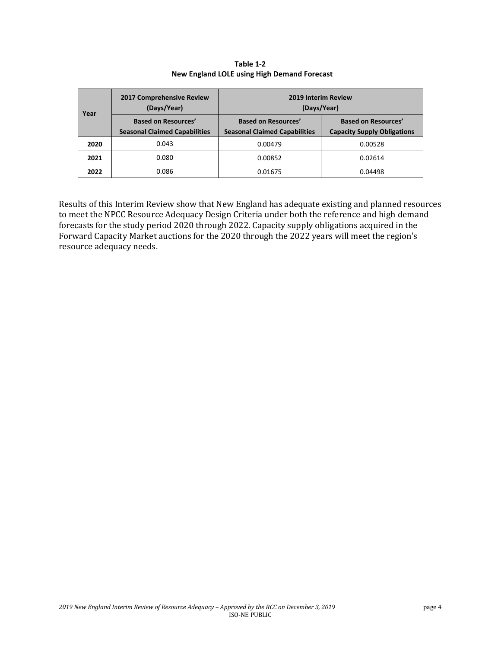| Year | 2017 Comprehensive Review<br>(Days/Year)                           | 2019 Interim Review<br>(Days/Year)                                 |                                                                  |  |
|------|--------------------------------------------------------------------|--------------------------------------------------------------------|------------------------------------------------------------------|--|
|      | <b>Based on Resources'</b><br><b>Seasonal Claimed Capabilities</b> | <b>Based on Resources'</b><br><b>Seasonal Claimed Capabilities</b> | <b>Based on Resources'</b><br><b>Capacity Supply Obligations</b> |  |
| 2020 | 0.043                                                              | 0.00479                                                            | 0.00528                                                          |  |
| 2021 | 0.080                                                              | 0.00852                                                            | 0.02614                                                          |  |
| 2022 | 0.086                                                              | 0.01675                                                            | 0.04498                                                          |  |

**Table 1-2 New England LOLE using High Demand Forecast**

Results of this Interim Review show that New England has adequate existing and planned resources to meet the NPCC Resource Adequacy Design Criteria under both the reference and high demand forecasts for the study period 2020 through 2022. Capacity supply obligations acquired in the Forward Capacity Market auctions for the 2020 through the 2022 years will meet the region's resource adequacy needs.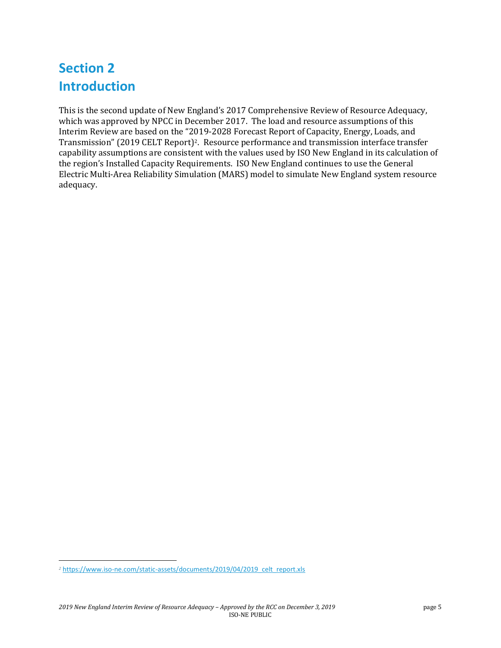### **Section 2 Introduction**

This is the second update of New England's 2017 Comprehensive Review of Resource Adequacy, which was approved by NPCC in December 2017. The load and resource assumptions of this Interim Review are based on the "2019-2028 Forecast Report of Capacity, Energy, Loads, and Transmission" (2019 CELT Report)[2.](#page-4-0) Resource performance and transmission interface transfer capability assumptions are consistent with the values used by ISO New England in its calculation of the region's Installed Capacity Requirements. ISO New England continues to use the General Electric Multi-Area Reliability Simulation (MARS) model to simulate New England system resource adequacy.

<span id="page-4-0"></span>*<sup>2</sup>* [https://www.iso-ne.com/static-assets/documents/2019/04/2019\\_celt\\_report.xls](https://www.iso-ne.com/static-assets/documents/2019/04/2019_celt_report.xls)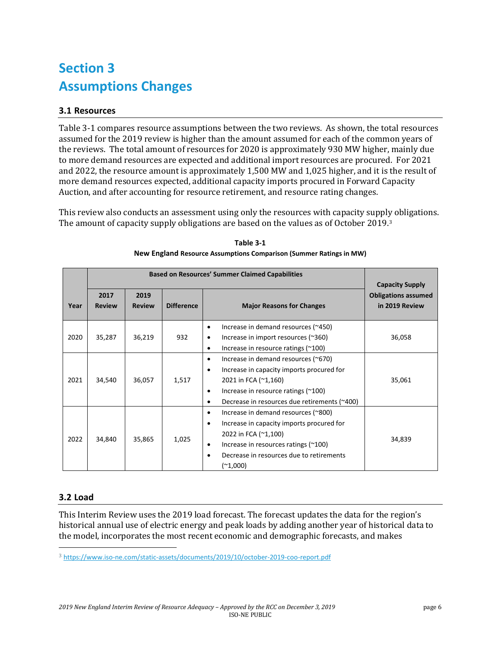### **Section 3 Assumptions Changes**

### **3.1 Resources**

Table 3-1 compares resource assumptions between the two reviews. As shown, the total resources assumed for the 2019 review is higher than the amount assumed for each of the common years of the reviews. The total amount of resources for 2020 is approximately 930 MW higher, mainly due to more demand resources are expected and additional import resources are procured. For 2021 and 2022, the resource amount is approximately 1,500 MW and 1,025 higher, and it is the result of more demand resources expected, additional capacity imports procured in Forward Capacity Auction, and after accounting for resource retirement, and resource rating changes.

This review also conducts an assessment using only the resources with capacity suppl[y](#page-5-0) obligations. The amount of capacity supply obligations are based on the values as of October 2019.<sup>3</sup>

|      |                       | <b>Capacity Supply</b> |                   |                                                                                                                                                                                                                                      |                                              |
|------|-----------------------|------------------------|-------------------|--------------------------------------------------------------------------------------------------------------------------------------------------------------------------------------------------------------------------------------|----------------------------------------------|
| Year | 2017<br><b>Review</b> | 2019<br><b>Review</b>  | <b>Difference</b> | <b>Major Reasons for Changes</b>                                                                                                                                                                                                     | <b>Obligations assumed</b><br>in 2019 Review |
| 2020 | 35,287                | 36,219                 | 932               | Increase in demand resources (~450)<br>$\bullet$<br>Increase in import resources (~360)<br>٠<br>Increase in resource ratings $(200)$<br>٠                                                                                            | 36,058                                       |
| 2021 | 34,540                | 36,057                 | 1,517             | Increase in demand resources (~670)<br>$\bullet$<br>Increase in capacity imports procured for<br>$\bullet$<br>2021 in FCA (~1,160)<br>Increase in resource ratings $(200)$<br>٠<br>Decrease in resources due retirements (~400)<br>٠ | 35,061                                       |
| 2022 | 34,840                | 35,865                 | 1,025             | Increase in demand resources (~800)<br>٠<br>Increase in capacity imports procured for<br>٠<br>2022 in FCA (~1,100)<br>Increase in resources ratings $(200)$<br>٠<br>Decrease in resources due to retirements<br>٠<br>$(*1,000)$      | 34,839                                       |

**Table 3-1 New England Resource Assumptions Comparison (Summer Ratings in MW)**

#### **3.2 Load**

This Interim Review uses the 2019 load forecast. The forecast updates the data for the region's historical annual use of electric energy and peak loads by adding another year of historical data to the model, incorporates the most recent economic and demographic forecasts, and makes

<span id="page-5-0"></span><sup>3</sup> <https://www.iso-ne.com/static-assets/documents/2019/10/october-2019-coo-report.pdf>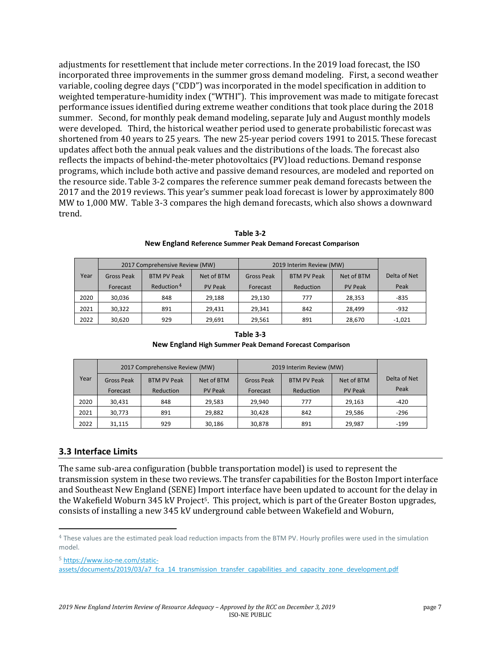adjustments for resettlement that include meter corrections. In the 2019 load forecast, the ISO incorporated three improvements in the summer gross demand modeling. First, a second weather variable, cooling degree days ("CDD") was incorporated in the model specification in addition to weighted temperature-humidity index ("WTHI"). This improvement was made to mitigate forecast performance issues identified during extreme weather conditions that took place during the 2018 summer. Second, for monthly peak demand modeling, separate July and August monthly models were developed. Third, the historical weather period used to generate probabilistic forecast was shortened from 40 years to 25 years. The new 25-year period covers 1991 to 2015. These forecast updates affect both the annual peak values and the distributions of the loads. The forecast also reflects the impacts of behind-the-meter photovoltaics (PV)load reductions. Demand response programs, which include both active and passive demand resources, are modeled and reported on the resource side. Table 3-2 compares the reference summer peak demand forecasts between the 2017 and the 2019 reviews. This year's summer peak load forecast is lower by approximately 800 MW to 1,000 MW. Table 3-3 compares the high demand forecasts, which also shows a downward trend.

|      | 2017 Comprehensive Review (MW) |                        |                | 2019 Interim Review (MW) |                    |                |              |
|------|--------------------------------|------------------------|----------------|--------------------------|--------------------|----------------|--------------|
| Year | <b>Gross Peak</b>              | <b>BTM PV Peak</b>     | Net of BTM     | <b>Gross Peak</b>        | <b>BTM PV Peak</b> | Net of BTM     | Delta of Net |
|      | Forecast                       | Reduction <sup>4</sup> | <b>PV Peak</b> | Forecast                 | Reduction          | <b>PV Peak</b> | Peak         |
| 2020 | 30,036                         | 848                    | 29,188         | 29,130                   | 777                | 28,353         | $-835$       |
| 2021 | 30,322                         | 891                    | 29,431         | 29,341                   | 842                | 28,499         | $-932$       |
| 2022 | 30,620                         | 929                    | 29,691         | 29,561                   | 891                | 28,670         | $-1,021$     |

**Table 3-2 New England Reference Summer Peak Demand Forecast Comparison**

| Table 3-3                                               |  |
|---------------------------------------------------------|--|
| New England High Summer Peak Demand Forecast Comparison |  |

|      |                   | 2017 Comprehensive Review (MW) |                | 2019 Interim Review (MW) |                    |                |              |
|------|-------------------|--------------------------------|----------------|--------------------------|--------------------|----------------|--------------|
| Year | <b>Gross Peak</b> | <b>BTM PV Peak</b>             | Net of BTM     | <b>Gross Peak</b>        | <b>BTM PV Peak</b> | Net of BTM     | Delta of Net |
|      | Forecast          | Reduction                      | <b>PV Peak</b> | Forecast                 | Reduction          | <b>PV Peak</b> | Peak         |
| 2020 | 30,431            | 848                            | 29,583         | 29,940                   | 777                | 29,163         | $-420$       |
| 2021 | 30,773            | 891                            | 29,882         | 30,428                   | 842                | 29,586         | $-296$       |
| 2022 | 31,115            | 929                            | 30,186         | 30,878                   | 891                | 29.987         | $-199$       |

#### **3.3 Interface Limits**

The same sub-area configuration (bubble transportation model) is used to represent the transmission system in these two reviews. The transfer capabilities for the Boston Import interface and Southeast New England (SENE) Import interface have been updated to account for the delay in the Wakefield Woburn 345 kV Project<sup>5</sup>. This project, which is part of the Greater Boston upgrades, consists of installing a new 345 kV underground cable between Wakefield and Woburn,

<span id="page-6-1"></span>5 [https://www.iso-ne.com/static-](https://www.iso-ne.com/static-assets/documents/2019/03/a7_fca_14_transmission_transfer_capabilities_and_capacity_zone_development.pdf)

<span id="page-6-0"></span><sup>4</sup> These values are the estimated peak load reduction impacts from the BTM PV. Hourly profiles were used in the simulation model.

[assets/documents/2019/03/a7\\_fca\\_14\\_transmission\\_transfer\\_capabilities\\_and\\_capacity\\_zone\\_development.pdf](https://www.iso-ne.com/static-assets/documents/2019/03/a7_fca_14_transmission_transfer_capabilities_and_capacity_zone_development.pdf)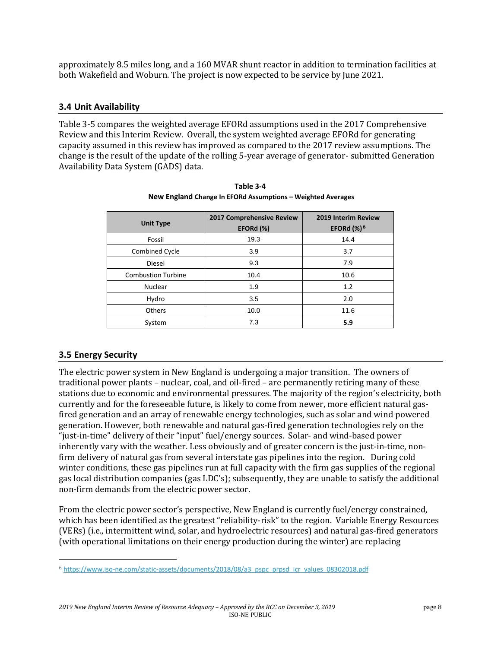approximately 8.5 miles long, and a 160 MVAR shunt reactor in addition to termination facilities at both Wakefield and Woburn. The project is now expected to be service by June 2021.

#### **3.4 Unit Availability**

Table 3-5 compares the weighted average EFORd assumptions used in the 2017 Comprehensive Review and this Interim Review. Overall, the system weighted average EFORd for generating capacity assumed in this review has improved as compared to the 2017 review assumptions. The change is the result of the update of the rolling 5-year average of generator- submitted Generation Availability Data System (GADS) data.

| <b>Unit Type</b>          | 2017 Comprehensive Review<br>EFORd (%) | 2019 Interim Review<br>EFORd $\left(\frac{1}{2}\right)^6$ |
|---------------------------|----------------------------------------|-----------------------------------------------------------|
| Fossil                    | 19.3                                   | 14.4                                                      |
| Combined Cycle            | 3.9                                    | 3.7                                                       |
| <b>Diesel</b>             | 9.3                                    | 7.9                                                       |
| <b>Combustion Turbine</b> | 10.4                                   | 10.6                                                      |
| Nuclear                   | 1.9                                    | 1.2                                                       |
| Hydro                     | 3.5                                    | 2.0                                                       |
| Others                    | 10.0                                   | 11.6                                                      |
| System                    | 7.3                                    | 5.9                                                       |

**Table 3-4 New England Change In EFORd Assumptions – Weighted Averages**

#### **3.5 Energy Security**

The electric power system in New England is undergoing a major transition. The owners of traditional power plants – nuclear, coal, and oil-fired – are permanently retiring many of these stations due to economic and environmental pressures. The majority of the region's electricity, both currently and for the foreseeable future, is likely to come from newer, more efficient natural gasfired generation and an array of renewable energy technologies, such as solar and wind powered generation. However, both renewable and natural gas-fired generation technologies rely on the "just-in-time" delivery of their "input" fuel/energy sources. Solar- and wind-based power inherently vary with the weather. Less obviously and of greater concern is the just-in-time, nonfirm delivery of natural gas from several interstate gas pipelines into the region. During cold winter conditions, these gas pipelines run at full capacity with the firm gas supplies of the regional gas local distribution companies (gas LDC's); subsequently, they are unable to satisfy the additional non-firm demands from the electric power sector.

From the electric power sector's perspective, New England is currently fuel/energy constrained, which has been identified as the greatest "reliability-risk" to the region. Variable Energy Resources (VERs) (i.e., intermittent wind, solar, and hydroelectric resources) and natural gas-fired generators (with operational limitations on their energy production during the winter) are replacing

<span id="page-7-0"></span><sup>6</sup> [https://www.iso-ne.com/static-assets/documents/2018/08/a3\\_pspc\\_prpsd\\_icr\\_values\\_08302018.pdf](https://www.iso-ne.com/static-assets/documents/2018/08/a3_pspc_prpsd_icr_values_08302018.pdf)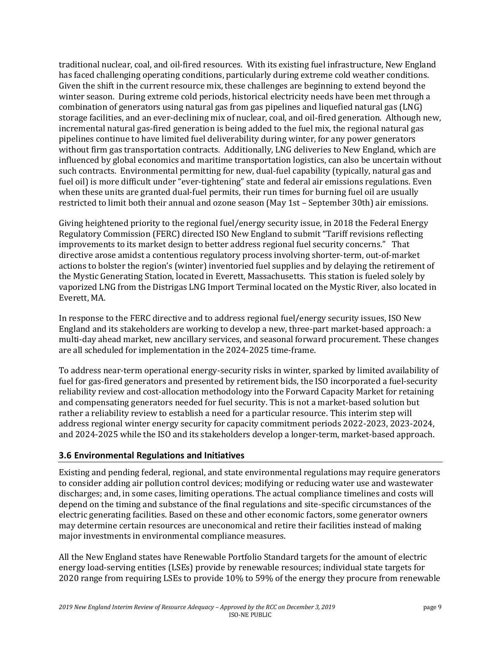traditional nuclear, coal, and oil-fired resources. With its existing fuel infrastructure, New England has faced challenging operating conditions, particularly during extreme cold weather conditions. Given the shift in the current resource mix, these challenges are beginning to extend beyond the winter season. During extreme cold periods, historical electricity needs have been met through a combination of generators using natural gas from gas pipelines and liquefied natural gas (LNG) storage facilities, and an ever-declining mix of nuclear, coal, and oil-fired generation. Although new, incremental natural gas-fired generation is being added to the fuel mix, the regional natural gas pipelines continue to have limited fuel deliverability during winter, for any power generators without firm gas transportation contracts. Additionally, LNG deliveries to New England, which are influenced by global economics and maritime transportation logistics, can also be uncertain without such contracts. Environmental permitting for new, dual-fuel capability (typically, natural gas and fuel oil) is more difficult under "ever-tightening" state and federal air emissions regulations. Even when these units are granted dual-fuel permits, their run times for burning fuel oil are usually restricted to limit both their annual and ozone season (May 1st – September 30th) air emissions.

Giving heightened priority to the regional fuel/energy security issue, in 2018 the Federal Energy Regulatory Commission (FERC) directed ISO New England to submit "Tariff revisions reflecting improvements to its market design to better address regional fuel security concerns." That directive arose amidst a contentious regulatory process involving shorter-term, out-of-market actions to bolster the region's (winter) inventoried fuel supplies and by delaying the retirement of the Mystic Generating Station, located in Everett, Massachusetts. This station is fueled solely by vaporized LNG from the Distrigas LNG Import Terminal located on the Mystic River, also located in Everett, MA.

In response to the FERC directive and to address regional fuel/energy security issues, ISO New England and its stakeholders are working to develop a new, three-part market-based approach: a multi-day ahead market, new ancillary services, and seasonal forward procurement. These changes are all scheduled for implementation in the 2024-2025 time-frame.

To address near-term operational energy-security risks in winter, sparked by limited availability of fuel for gas-fired generators and presented by retirement bids, the ISO incorporated a fuel-security reliability review and cost-allocation methodology into the Forward Capacity Market for retaining and compensating generators needed for fuel security. This is not a market-based solution but rather a reliability review to establish a need for a particular resource. This interim step will address regional winter energy security for capacity commitment periods 2022-2023, 2023-2024, and 2024-2025 while the ISO and its stakeholders develop a longer-term, market-based approach.

#### **3.6 Environmental Regulations and Initiatives**

Existing and pending federal, regional, and state environmental regulations may require generators to consider adding air pollution control devices; modifying or reducing water use and wastewater discharges; and, in some cases, limiting operations. The actual compliance timelines and costs will depend on the timing and substance of the final regulations and site-specific circumstances of the electric generating facilities. Based on these and other economic factors, some generator owners may determine certain resources are uneconomical and retire their facilities instead of making major investments in environmental compliance measures.

All the New England states have Renewable Portfolio Standard targets for the amount of electric energy load-serving entities (LSEs) provide by renewable resources; individual state targets for 2020 range from requiring LSEs to provide 10% to 59% of the energy they procure from renewable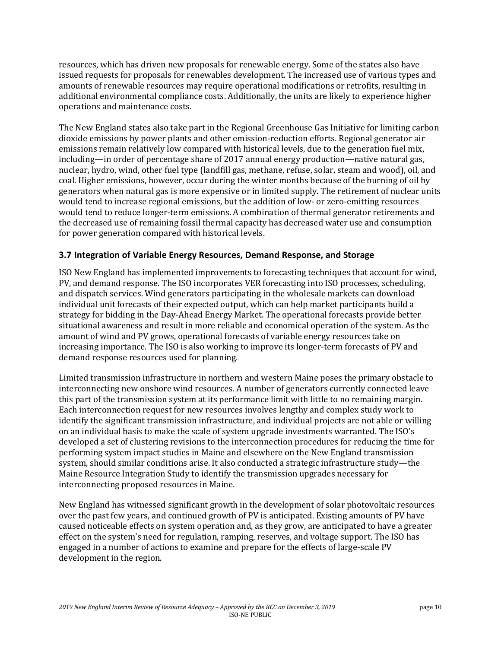resources, which has driven new proposals for renewable energy. Some of the states also have issued requests for proposals for renewables development. The increased use of various types and amounts of renewable resources may require operational modifications or retrofits, resulting in additional environmental compliance costs. Additionally, the units are likely to experience higher operations and maintenance costs.

The New England states also take part in the Regional Greenhouse Gas Initiative for limiting carbon dioxide emissions by power plants and other emission-reduction efforts. Regional generator air emissions remain relatively low compared with historical levels, due to the generation fuel mix, including—in order of percentage share of 2017 annual energy production—native natural gas, nuclear, hydro, wind, other fuel type (landfill gas, methane, refuse, solar, steam and wood), oil, and coal. Higher emissions, however, occur during the winter months because of the burning of oil by generators when natural gas is more expensive or in limited supply. The retirement of nuclear units would tend to increase regional emissions, but the addition of low- or zero-emitting resources would tend to reduce longer-term emissions. A combination of thermal generator retirements and the decreased use of remaining fossil thermal capacity has decreased water use and consumption for power generation compared with historical levels.

#### **3.7 Integration of Variable Energy Resources, Demand Response, and Storage**

ISO New England has implemented improvements to forecasting techniques that account for wind, PV, and demand response. The ISO incorporates VER forecasting into ISO processes, scheduling, and dispatch services. Wind generators participating in the wholesale markets can download individual unit forecasts of their expected output, which can help market participants build a strategy for bidding in the Day-Ahead Energy Market. The operational forecasts provide better situational awareness and result in more reliable and economical operation of the system. As the amount of wind and PV grows, operational forecasts of variable energy resources take on increasing importance. The ISO is also working to improve its longer-term forecasts of PV and demand response resources used for planning.

Limited transmission infrastructure in northern and western Maine poses the primary obstacle to interconnecting new onshore wind resources. A number of generators currently connected leave this part of the transmission system at its performance limit with little to no remaining margin. Each interconnection request for new resources involves lengthy and complex study work to identify the significant transmission infrastructure, and individual projects are not able or willing on an individual basis to make the scale of system upgrade investments warranted. The ISO's developed a set of clustering revisions to the interconnection procedures for reducing the time for performing system impact studies in Maine and elsewhere on the New England transmission system, should similar conditions arise. It also conducted a strategic infrastructure study—the Maine Resource Integration Study to identify the transmission upgrades necessary for interconnecting proposed resources in Maine.

New England has witnessed significant growth in the development of solar photovoltaic resources over the past few years, and continued growth of PV is anticipated. Existing amounts of PV have caused noticeable effects on system operation and, as they grow, are anticipated to have a greater effect on the system's need for regulation, ramping, reserves, and voltage support. The ISO has engaged in a number of actions to examine and prepare for the effects of large-scale PV development in the region.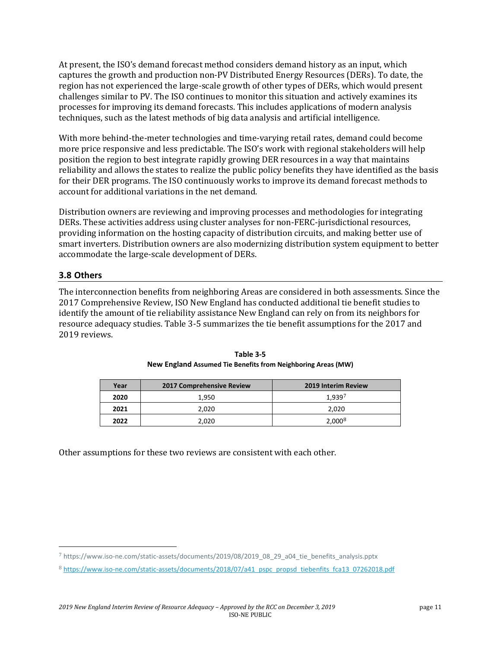At present, the ISO's demand forecast method considers demand history as an input, which captures the growth and production non-PV Distributed Energy Resources (DERs). To date, the region has not experienced the large-scale growth of other types of DERs, which would present challenges similar to PV. The ISO continues to monitor this situation and actively examines its processes for improving its demand forecasts. This includes applications of modern analysis techniques, such as the latest methods of big data analysis and artificial intelligence.

With more behind-the-meter technologies and time-varying retail rates, demand could become more price responsive and less predictable. The ISO's work with regional stakeholders will help position the region to best integrate rapidly growing DER resources in a way that maintains reliability and allows the states to realize the public policy benefits they have identified as the basis for their DER programs. The ISO continuously works to improve its demand forecast methods to account for additional variations in the net demand.

Distribution owners are reviewing and improving processes and methodologies for integrating DERs. These activities address using cluster analyses for non-FERC-jurisdictional resources, providing information on the hosting capacity of distribution circuits, and making better use of smart inverters. Distribution owners are also modernizing distribution system equipment to better accommodate the large-scale development of DERs.

#### **3.8 Others**

The interconnection benefits from neighboring Areas are considered in both assessments. Since the 2017 Comprehensive Review, ISO New England has conducted additional tie benefit studies to identify the amount of tie reliability assistance New England can rely on from its neighbors for resource adequacy studies. Table 3-5 summarizes the tie benefit assumptions for the 2017 and 2019 reviews.

| Year | 2017 Comprehensive Review | <b>2019 Interim Review</b> |  |
|------|---------------------------|----------------------------|--|
| 2020 | 1.950                     | 1.939 <sup>7</sup>         |  |
| 2021 | 2.020                     | 2.020                      |  |
| 2022 | 2.020                     | 2.000 <sup>8</sup>         |  |

| Table 3-5                                                    |
|--------------------------------------------------------------|
| New England Assumed Tie Benefits from Neighboring Areas (MW) |

Other assumptions for these two reviews are consistent with each other.

<span id="page-10-0"></span><sup>7</sup> https://www.iso-ne.com/static-assets/documents/2019/08/2019\_08\_29\_a04\_tie\_benefits\_analysis.pptx

<span id="page-10-1"></span><sup>8</sup> [https://www.iso-ne.com/static-assets/documents/2018/07/a41\\_pspc\\_propsd\\_tiebenfits\\_fca13\\_07262018.pdf](https://www.iso-ne.com/static-assets/documents/2018/07/a41_pspc_propsd_tiebenfits_fca13_07262018.pdf)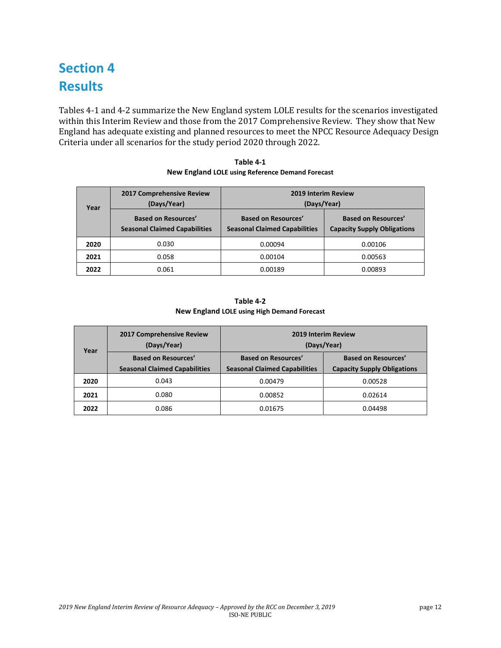## **Section 4 Results**

Tables 4-1 and 4-2 summarize the New England system LOLE results for the scenarios investigated within this Interim Review and those from the 2017 Comprehensive Review. They show that New England has adequate existing and planned resources to meet the NPCC Resource Adequacy Design Criteria under all scenarios for the study period 2020 through 2022.

| Table 4-1                                        |
|--------------------------------------------------|
| New England LOLE using Reference Demand Forecast |

| Year | 2017 Comprehensive Review<br>(Days/Year)                           | <b>2019 Interim Review</b><br>(Days/Year)                          |                                                                  |  |
|------|--------------------------------------------------------------------|--------------------------------------------------------------------|------------------------------------------------------------------|--|
|      | <b>Based on Resources'</b><br><b>Seasonal Claimed Capabilities</b> | <b>Based on Resources'</b><br><b>Seasonal Claimed Capabilities</b> | <b>Based on Resources'</b><br><b>Capacity Supply Obligations</b> |  |
| 2020 | 0.030                                                              | 0.00094                                                            | 0.00106                                                          |  |
| 2021 | 0.058                                                              | 0.00104                                                            | 0.00563                                                          |  |
| 2022 | 0.061                                                              | 0.00189                                                            | 0.00893                                                          |  |

#### **Table 4-2 New England LOLE using High Demand Forecast**

| Year | 2017 Comprehensive Review<br>(Days/Year) | <b>2019 Interim Review</b><br>(Days/Year) |                                    |  |
|------|------------------------------------------|-------------------------------------------|------------------------------------|--|
|      | <b>Based on Resources'</b>               | <b>Based on Resources'</b>                | <b>Based on Resources'</b>         |  |
|      | <b>Seasonal Claimed Capabilities</b>     | <b>Seasonal Claimed Capabilities</b>      | <b>Capacity Supply Obligations</b> |  |
| 2020 | 0.043                                    | 0.00479                                   | 0.00528                            |  |
| 2021 | 0.080                                    | 0.00852                                   | 0.02614                            |  |
| 2022 | 0.086                                    | 0.01675                                   | 0.04498                            |  |